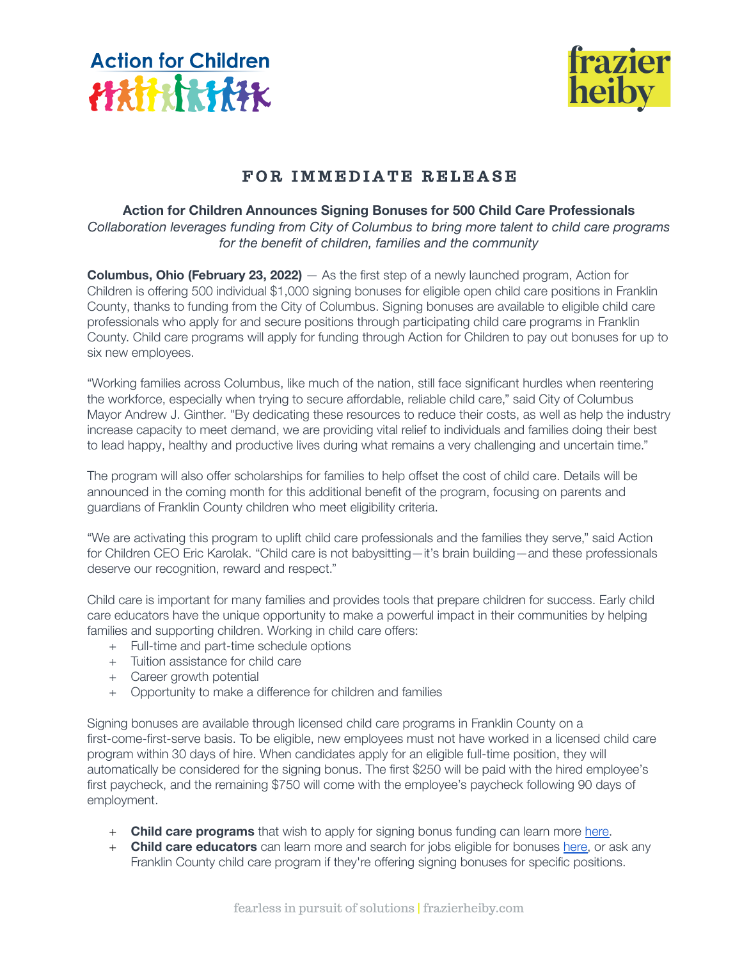



## FOR IMMEDIATE RELEASE

## **Action for Children Announces Signing Bonuses for 500 Child Care Professionals**

*Collaboration leverages funding from City of Columbus to bring more talent to child care programs for the benefit of children, families and the community*

**Columbus, Ohio (February 23, 2022)** — As the first step of a newly launched program, Action for Children is offering 500 individual \$1,000 signing bonuses for eligible open child care positions in Franklin County, thanks to funding from the City of Columbus. Signing bonuses are available to eligible child care professionals who apply for and secure positions through participating child care programs in Franklin County. Child care programs will apply for funding through Action for Children to pay out bonuses for up to six new employees.

"Working families across Columbus, like much of the nation, still face significant hurdles when reentering the workforce, especially when trying to secure affordable, reliable child care," said City of Columbus Mayor Andrew J. Ginther. "By dedicating these resources to reduce their costs, as well as help the industry increase capacity to meet demand, we are providing vital relief to individuals and families doing their best to lead happy, healthy and productive lives during what remains a very challenging and uncertain time."

The program will also offer scholarships for families to help offset the cost of child care. Details will be announced in the coming month for this additional benefit of the program, focusing on parents and guardians of Franklin County children who meet eligibility criteria.

"We are activating this program to uplift child care professionals and the families they serve," said Action for Children CEO Eric Karolak. "Child care is not babysitting—it's brain building—and these professionals deserve our recognition, reward and respect."

Child care is important for many families and provides tools that prepare children for success. Early child care educators have the unique opportunity to make a powerful impact in their communities by helping families and supporting children. Working in child care offers:

- + Full-time and part-time schedule options
- + Tuition assistance for child care
- + Career growth potential
- + Opportunity to make a difference for children and families

Signing bonuses are available through licensed child care programs in Franklin County on a first-come-first-serve basis. To be eligible, new employees must not have worked in a licensed child care program within 30 days of hire. When candidates apply for an eligible full-time position, they will automatically be considered for the signing bonus. The first \$250 will be paid with the hired employee's first paycheck, and the remaining \$750 will come with the employee's paycheck following 90 days of employment.

- + **Child care programs** that wish to apply for signing bonus funding can learn more [here.](https://www.actionforchildren.org/signing-bonus-program/)
- + **Child care educators** can learn more and search for jobs eligible for bonuses [here,](https://www.actionforchildren.org/signing-bonus-program-educators/) or ask any Franklin County child care program if they're offering signing bonuses for specific positions.